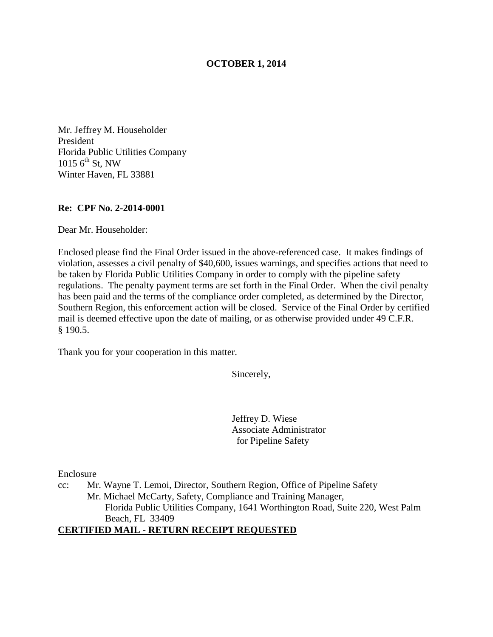## **OCTOBER 1, 2014**

Mr. Jeffrey M. Householder President Florida Public Utilities Company  $1015\,6^{th}\,$  St, NW Winter Haven, FL 33881

### **Re: CPF No. 2-2014-0001**

Dear Mr. Householder:

Enclosed please find the Final Order issued in the above-referenced case. It makes findings of violation, assesses a civil penalty of \$40,600, issues warnings, and specifies actions that need to be taken by Florida Public Utilities Company in order to comply with the pipeline safety regulations. The penalty payment terms are set forth in the Final Order. When the civil penalty has been paid and the terms of the compliance order completed, as determined by the Director, Southern Region, this enforcement action will be closed. Service of the Final Order by certified mail is deemed effective upon the date of mailing, or as otherwise provided under 49 C.F.R. § 190.5.

Thank you for your cooperation in this matter.

Sincerely,

Jeffrey D. Wiese Associate Administrator for Pipeline Safety

Enclosure

cc: Mr. Wayne T. Lemoi, Director, Southern Region, Office of Pipeline Safety Mr. Michael McCarty, Safety, Compliance and Training Manager, Florida Public Utilities Company, 1641 Worthington Road, Suite 220, West Palm Beach, FL 33409

## **CERTIFIED MAIL - RETURN RECEIPT REQUESTED**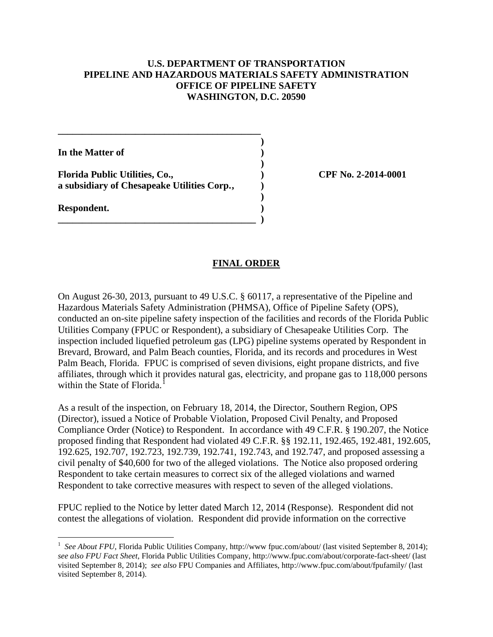## **U.S. DEPARTMENT OF TRANSPORTATION PIPELINE AND HAZARDOUS MATERIALS SAFETY ADMINISTRATION OFFICE OF PIPELINE SAFETY WASHINGTON, D.C. 20590**

**In the Matter of )** 

**Florida Public Utilities, Co., ) CPF No. 2-2014-0001 a subsidiary of Chesapeake Utilities Corp. , )** 

**\_\_\_\_\_\_\_\_\_\_\_\_\_\_\_\_\_\_\_\_\_\_\_\_\_\_\_\_\_\_\_\_\_\_\_\_\_\_\_\_\_\_ )** 

 **)** 

 **)** 

**\_\_\_\_\_\_\_\_\_\_\_\_\_\_\_\_\_\_\_\_\_\_\_\_\_\_\_\_\_\_\_\_\_\_\_\_\_\_\_\_\_ )** 

**Respondent. )** 

 $\overline{a}$ 

### **FINAL ORDER**

On August 26-30, 2013, pursuant to 49 U.S.C. § 60117, a representative of the Pipeline and Hazardous Materials Safety Administration (PHMSA), Office of Pipeline Safety (OPS), conducted an on-site pipeline safety inspection of the facilities and records of the Florida Public Utilities Company (FPUC or Respondent), a subsidiary of Chesapeake Utilities Corp. The inspection included liquefied petroleum gas (LPG) pipeline systems operated by Respondent in Brevard, Broward, and Palm Beach counties, Florida, and its records and procedures in West Palm Beach, Florida. FPUC is comprised of seven divisions, eight propane districts, and five affiliates, through which it provides natural gas, electricity, and propane gas to 118,000 persons within the State of Florida.<sup>1</sup>

As a result of the inspection, on February 18, 2014, the Director, Southern Region, OPS (Director), issued a Notice of Probable Violation, Proposed Civil Penalty, and Proposed Compliance Order (Notice) to Respondent. In accordance with 49 C.F.R. § 190.207, the Notice proposed finding that Respondent had violated 49 C.F.R. §§ 192.11, 192.465, 192.481, 192.605, 192.625, 192.707, 192.723, 192.739, 192.741, 192.743, and 192.747, and proposed assessing a civil penalty of \$40,600 for two of the alleged violations. The Notice also proposed ordering Respondent to take certain measures to correct six of the alleged violations and warned Respondent to take corrective measures with respect to seven of the alleged violations.

FPUC replied to the Notice by letter dated March 12, 2014 (Response). Respondent did not contest the allegations of violation. Respondent did provide information on the corrective

<sup>&</sup>lt;sup>1</sup> See About FPU, Florida Public Utilities Company, http://www fpuc.com/about/ (last visited September 8, 2014); *see also FPU Fact Sheet*, Florida Public Utilities Company, http://www.fpuc.com/about/corporate-fact-sheet/ (last visited September 8, 2014); *see also* FPU Companies and Affiliates, http://www.fpuc.com/about/fpufamily/ (last visited September 8, 2014).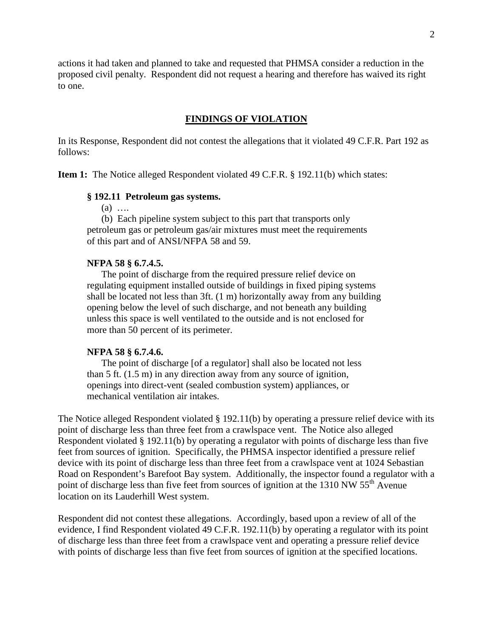actions it had taken and planned to take and requested that PHMSA consider a reduction in the proposed civil penalty. Respondent did not request a hearing and therefore has waived its right to one.

### **FINDINGS OF VIOLATION**

In its Response, Respondent did not contest the allegations that it violated 49 C.F.R. Part 192 as follows:

**Item 1:** The Notice alleged Respondent violated 49 C.F.R. § 192.11(b) which states:

### **§ 192.11 Petroleum gas systems.**

(a) ….

(b) Each pipeline system subject to this part that transports only petroleum gas or petroleum gas/air mixtures must meet the requirements of this part and of ANSI/NFPA 58 and 59.

### **NFPA 58 § 6.7.4.5.**

 The point of discharge from the required pressure relief device on regulating equipment installed outside of buildings in fixed piping systems shall be located not less than 3ft. (1 m) horizontally away from any building opening below the level of such discharge, and not beneath any building unless this space is well ventilated to the outside and is not enclosed for more than 50 percent of its perimeter.

#### **NFPA 58 § 6.7.4.6.**

The point of discharge [of a regulator] shall also be located not less than 5 ft. (1.5 m) in any direction away from any source of ignition, openings into direct-vent (sealed combustion system) appliances, or mechanical ventilation air intakes.

The Notice alleged Respondent violated § 192.11(b) by operating a pressure relief device with its point of discharge less than three feet from a crawlspace vent. The Notice also alleged Respondent violated § 192.11(b) by operating a regulator with points of discharge less than five feet from sources of ignition. Specifically, the PHMSA inspector identified a pressure relief device with its point of discharge less than three feet from a crawlspace vent at 1024 Sebastian Road on Respondent's Barefoot Bay system. Additionally, the inspector found a regulator with a point of discharge less than five feet from sources of ignition at the 1310 NW 55<sup>th</sup> Avenue location on its Lauderhill West system.

Respondent did not contest these allegations. Accordingly, based upon a review of all of the evidence, I find Respondent violated 49 C.F.R. 192.11(b) by operating a regulator with its point of discharge less than three feet from a crawlspace vent and operating a pressure relief device with points of discharge less than five feet from sources of ignition at the specified locations.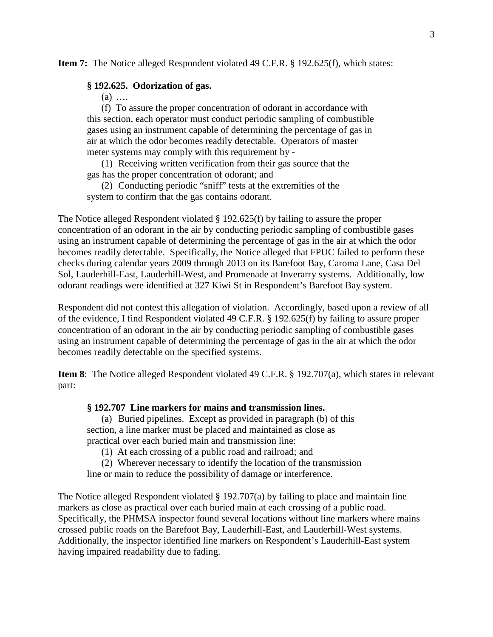**Item 7:** The Notice alleged Respondent violated 49 C.F.R. § 192.625(f), which states:

#### **§ 192.625. Odorization of gas.**

 $(a)$  ....

(f) To assure the proper concentration of odorant in accordance with this section, each operator must conduct periodic sampling of combustible gases using an instrument capable of determining the percentage of gas in air at which the odor becomes readily detectable. Operators of master meter systems may comply with this requirement by -

(1) Receiving written verification from their gas source that the gas has the proper concentration of odorant; and

(2) Conducting periodic "sniff" tests at the extremities of the system to confirm that the gas contains odorant.

The Notice alleged Respondent violated § 192.625(f) by failing to assure the proper concentration of an odorant in the air by conducting periodic sampling of combustible gases using an instrument capable of determining the percentage of gas in the air at which the odor becomes readily detectable. Specifically, the Notice alleged that FPUC failed to perform these checks during calendar years 2009 through 2013 on its Barefoot Bay, Caroma Lane, Casa Del Sol, Lauderhill-East, Lauderhill-West, and Promenade at Inverarry systems. Additionally, low odorant readings were identified at 327 Kiwi St in Respondent's Barefoot Bay system.

Respondent did not contest this allegation of violation. Accordingly, based upon a review of all of the evidence, I find Respondent violated 49 C.F.R. § 192.625(f) by failing to assure proper concentration of an odorant in the air by conducting periodic sampling of combustible gases using an instrument capable of determining the percentage of gas in the air at which the odor becomes readily detectable on the specified systems.

**Item 8**: The Notice alleged Respondent violated 49 C.F.R. § 192.707(a), which states in relevant part:

### **§ 192.707 Line markers for mains and transmission lines.**

(a) Buried pipelines. Except as provided in paragraph (b) of this section, a line marker must be placed and maintained as close as practical over each buried main and transmission line:

(1) At each crossing of a public road and railroad; and

(2) Wherever necessary to identify the location of the transmission

line or main to reduce the possibility of damage or interference.

The Notice alleged Respondent violated § 192.707(a) by failing to place and maintain line markers as close as practical over each buried main at each crossing of a public road. Specifically, the PHMSA inspector found several locations without line markers where mains crossed public roads on the Barefoot Bay, Lauderhill-East, and Lauderhill-West systems. Additionally, the inspector identified line markers on Respondent's Lauderhill-East system having impaired readability due to fading.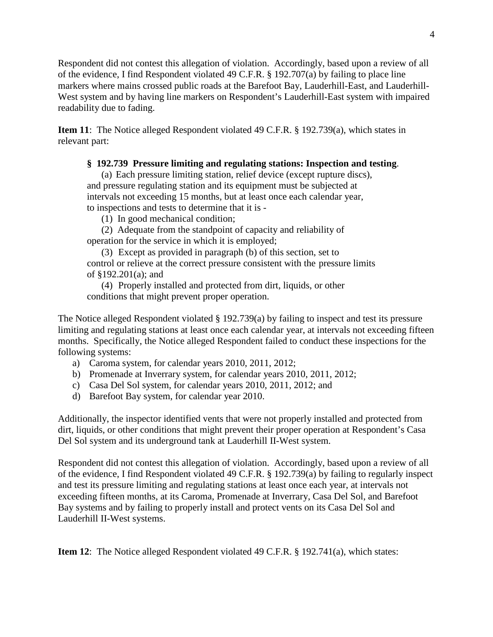Respondent did not contest this allegation of violation. Accordingly, based upon a review of all of the evidence, I find Respondent violated 49 C.F.R. § 192.707(a) by failing to place line markers where mains crossed public roads at the Barefoot Bay, Lauderhill-East, and Lauderhill-West system and by having line markers on Respondent's Lauderhill-East system with impaired readability due to fading.

**Item 11**: The Notice alleged Respondent violated 49 C.F.R. § 192.739(a), which states in relevant part:

## **§ 192.739 Pressure limiting and regulating stations: Inspection and testing**.

(a) Each pressure limiting station, relief device (except rupture discs), and pressure regulating station and its equipment must be subjected at intervals not exceeding 15 months, but at least once each calendar year, to inspections and tests to determine that it is -

(1) In good mechanical condition;

(2) Adequate from the standpoint of capacity and reliability of operation for the service in which it is employed;

(3) Except as provided in paragraph (b) of this section, set to control or relieve at the correct pressure consistent with the pressure limits of §192.201(a); and

(4) Properly installed and protected from dirt, liquids, or other conditions that might prevent proper operation.

The Notice alleged Respondent violated § 192.739(a) by failing to inspect and test its pressure limiting and regulating stations at least once each calendar year, at intervals not exceeding fifteen months. Specifically, the Notice alleged Respondent failed to conduct these inspections for the following systems:

- a) Caroma system, for calendar years 2010, 2011, 2012;
- b) Promenade at Inverrary system, for calendar years 2010, 2011, 2012;
- c) Casa Del Sol system, for calendar years 2010, 2011, 2012; and
- d) Barefoot Bay system, for calendar year 2010.

Additionally, the inspector identified vents that were not properly installed and protected from dirt, liquids, or other conditions that might prevent their proper operation at Respondent's Casa Del Sol system and its underground tank at Lauderhill II-West system.

Respondent did not contest this allegation of violation. Accordingly, based upon a review of all of the evidence, I find Respondent violated 49 C.F.R. § 192.739(a) by failing to regularly inspect and test its pressure limiting and regulating stations at least once each year, at intervals not exceeding fifteen months, at its Caroma, Promenade at Inverrary, Casa Del Sol, and Barefoot Bay systems and by failing to properly install and protect vents on its Casa Del Sol and Lauderhill II-West systems.

**Item 12**: The Notice alleged Respondent violated 49 C.F.R. § 192.741(a), which states: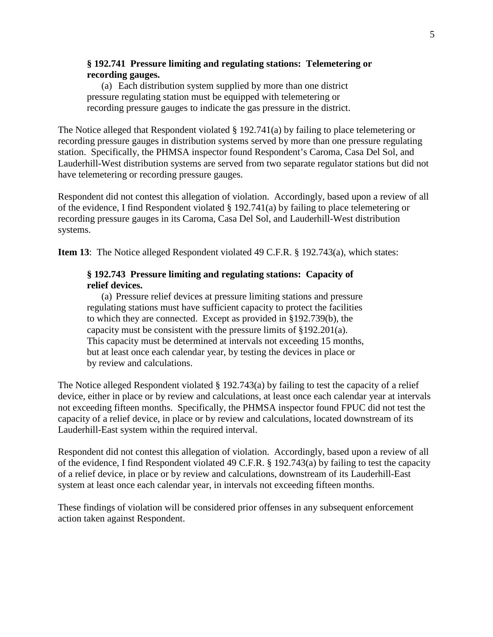### **§ 192.741 Pressure limiting and regulating stations: Telemetering or recording gauges.**

(a) Each distribution system supplied by more than one district pressure regulating station must be equipped with telemetering or recording pressure gauges to indicate the gas pressure in the district.

The Notice alleged that Respondent violated § 192.741(a) by failing to place telemetering or recording pressure gauges in distribution systems served by more than one pressure regulating station. Specifically, the PHMSA inspector found Respondent's Caroma, Casa Del Sol, and Lauderhill-West distribution systems are served from two separate regulator stations but did not have telemetering or recording pressure gauges.

Respondent did not contest this allegation of violation. Accordingly, based upon a review of all of the evidence, I find Respondent violated § 192.741(a) by failing to place telemetering or recording pressure gauges in its Caroma, Casa Del Sol, and Lauderhill-West distribution systems.

**Item 13**: The Notice alleged Respondent violated 49 C.F.R. § 192.743(a), which states:

## **§ 192.743 Pressure limiting and regulating stations: Capacity of relief devices.**

(a) Pressure relief devices at pressure limiting stations and pressure regulating stations must have sufficient capacity to protect the facilities to which they are connected. Except as provided in §192.739(b), the capacity must be consistent with the pressure limits of §192.201(a). This capacity must be determined at intervals not exceeding 15 months, but at least once each calendar year, by testing the devices in place or by review and calculations.

The Notice alleged Respondent violated § 192.743(a) by failing to test the capacity of a relief device, either in place or by review and calculations, at least once each calendar year at intervals not exceeding fifteen months. Specifically, the PHMSA inspector found FPUC did not test the capacity of a relief device, in place or by review and calculations, located downstream of its Lauderhill-East system within the required interval.

Respondent did not contest this allegation of violation. Accordingly, based upon a review of all of the evidence, I find Respondent violated 49 C.F.R. § 192.743(a) by failing to test the capacity of a relief device, in place or by review and calculations, downstream of its Lauderhill-East system at least once each calendar year, in intervals not exceeding fifteen months.

These findings of violation will be considered prior offenses in any subsequent enforcement action taken against Respondent.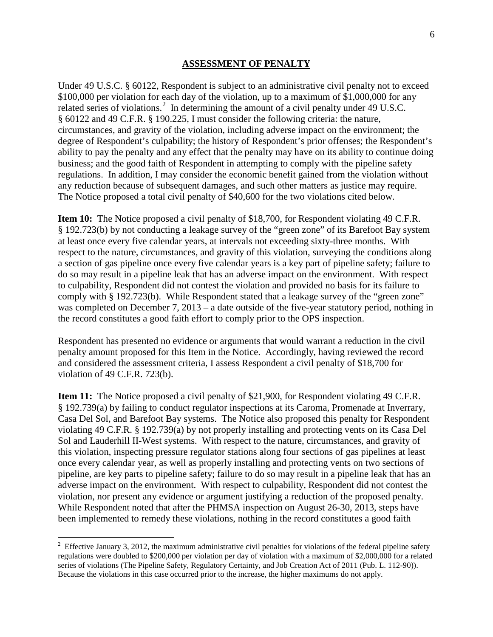#### **ASSESSMENT OF PENALTY**

Under 49 U.S.C. § 60122, Respondent is subject to an administrative civil penalty not to exceed \$100,000 per violation for each day of the violation, up to a maximum of \$1,000,000 for any related series of violations.<sup>2</sup> In determining the amount of a civil penalty under 49 U.S.C. § 60122 and 49 C.F.R. § 190.225, I must consider the following criteria: the nature, circumstances, and gravity of the violation, including adverse impact on the environment; the degree of Respondent's culpability; the history of Respondent's prior offenses; the Respondent's ability to pay the penalty and any effect that the penalty may have on its ability to continue doing business; and the good faith of Respondent in attempting to comply with the pipeline safety regulations. In addition, I may consider the economic benefit gained from the violation without any reduction because of subsequent damages, and such other matters as justice may require. The Notice proposed a total civil penalty of \$40,600 for the two violations cited below.

**Item 10:** The Notice proposed a civil penalty of \$18,700, for Respondent violating 49 C.F.R. § 192.723(b) by not conducting a leakage survey of the "green zone" of its Barefoot Bay system at least once every five calendar years, at intervals not exceeding sixty-three months. With respect to the nature, circumstances, and gravity of this violation, surveying the conditions along a section of gas pipeline once every five calendar years is a key part of pipeline safety; failure to do so may result in a pipeline leak that has an adverse impact on the environment. With respect to culpability, Respondent did not contest the violation and provided no basis for its failure to comply with § 192.723(b). While Respondent stated that a leakage survey of the "green zone" was completed on December 7, 2013 – a date outside of the five-year statutory period, nothing in the record constitutes a good faith effort to comply prior to the OPS inspection.

Respondent has presented no evidence or arguments that would warrant a reduction in the civil penalty amount proposed for this Item in the Notice. Accordingly, having reviewed the record and considered the assessment criteria, I assess Respondent a civil penalty of \$18,700 for violation of 49 C.F.R. 723(b).

**Item 11:** The Notice proposed a civil penalty of \$21,900, for Respondent violating 49 C.F.R. § 192.739(a) by failing to conduct regulator inspections at its Caroma, Promenade at Inverrary, Casa Del Sol, and Barefoot Bay systems. The Notice also proposed this penalty for Respondent violating 49 C.F.R. § 192.739(a) by not properly installing and protecting vents on its Casa Del Sol and Lauderhill II-West systems. With respect to the nature, circumstances, and gravity of this violation, inspecting pressure regulator stations along four sections of gas pipelines at least once every calendar year, as well as properly installing and protecting vents on two sections of pipeline, are key parts to pipeline safety; failure to do so may result in a pipeline leak that has an adverse impact on the environment. With respect to culpability, Respondent did not contest the violation, nor present any evidence or argument justifying a reduction of the proposed penalty. While Respondent noted that after the PHMSA inspection on August 26-30, 2013, steps have been implemented to remedy these violations, nothing in the record constitutes a good faith

 $\overline{a}$ 

<sup>&</sup>lt;sup>2</sup> Effective January 3, 2012, the maximum administrative civil penalties for violations of the federal pipeline safety regulations were doubled to \$200,000 per violation per day of violation with a maximum of \$2,000,000 for a related series of violations (The Pipeline Safety, Regulatory Certainty, and Job Creation Act of 2011 (Pub. L. 112-90)). Because the violations in this case occurred prior to the increase, the higher maximums do not apply.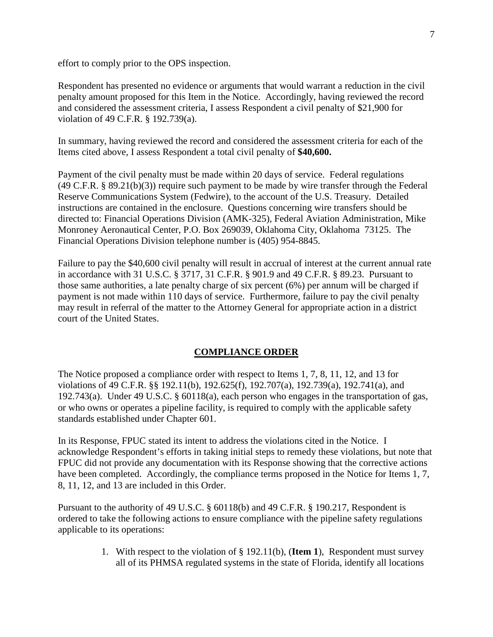effort to comply prior to the OPS inspection.

Respondent has presented no evidence or arguments that would warrant a reduction in the civil penalty amount proposed for this Item in the Notice. Accordingly, having reviewed the record and considered the assessment criteria, I assess Respondent a civil penalty of \$21,900 for violation of 49 C.F.R. § 192.739(a).

In summary, having reviewed the record and considered the assessment criteria for each of the Items cited above, I assess Respondent a total civil penalty of **\$40,600.**

Payment of the civil penalty must be made within 20 days of service. Federal regulations  $(49 \text{ C.F.R. } § 89.21(b)(3))$  require such payment to be made by wire transfer through the Federal Reserve Communications System (Fedwire), to the account of the U.S. Treasury. Detailed instructions are contained in the enclosure. Questions concerning wire transfers should be directed to: Financial Operations Division (AMK-325), Federal Aviation Administration, Mike Monroney Aeronautical Center, P.O. Box 269039, Oklahoma City, Oklahoma 73125. The Financial Operations Division telephone number is (405) 954-8845.

Failure to pay the \$40,600 civil penalty will result in accrual of interest at the current annual rate in accordance with 31 U.S.C. § 3717, 31 C.F.R. § 901.9 and 49 C.F.R. § 89.23. Pursuant to those same authorities, a late penalty charge of six percent (6%) per annum will be charged if payment is not made within 110 days of service. Furthermore, failure to pay the civil penalty may result in referral of the matter to the Attorney General for appropriate action in a district court of the United States.

# **COMPLIANCE ORDER**

The Notice proposed a compliance order with respect to Items 1, 7, 8, 11, 12, and 13 for violations of 49 C.F.R. §§ 192.11(b), 192.625(f), 192.707(a), 192.739(a), 192.741(a), and 192.743(a). Under 49 U.S.C. § 60118(a), each person who engages in the transportation of gas, or who owns or operates a pipeline facility, is required to comply with the applicable safety standards established under Chapter 601.

In its Response, FPUC stated its intent to address the violations cited in the Notice. I acknowledge Respondent's efforts in taking initial steps to remedy these violations, but note that FPUC did not provide any documentation with its Response showing that the corrective actions have been completed. Accordingly, the compliance terms proposed in the Notice for Items 1, 7, 8, 11, 12, and 13 are included in this Order.

Pursuant to the authority of 49 U.S.C. § 60118(b) and 49 C.F.R. § 190.217, Respondent is ordered to take the following actions to ensure compliance with the pipeline safety regulations applicable to its operations:

> 1. With respect to the violation of § 192.11(b), (**Item 1**), Respondent must survey all of its PHMSA regulated systems in the state of Florida, identify all locations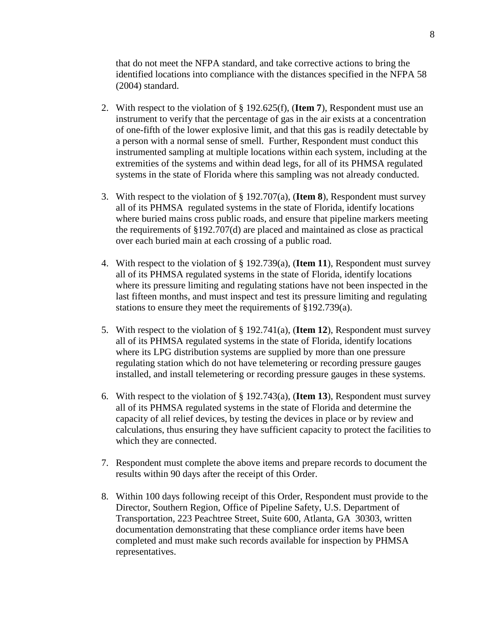that do not meet the NFPA standard, and take corrective actions to bring the identified locations into compliance with the distances specified in the NFPA 58 (2004) standard.

- 2. With respect to the violation of § 192.625(f), (**Item 7**), Respondent must use an instrument to verify that the percentage of gas in the air exists at a concentration of one-fifth of the lower explosive limit, and that this gas is readily detectable by a person with a normal sense of smell. Further, Respondent must conduct this instrumented sampling at multiple locations within each system, including at the extremities of the systems and within dead legs, for all of its PHMSA regulated systems in the state of Florida where this sampling was not already conducted.
- 3. With respect to the violation of § 192.707(a), (**Item 8**), Respondent must survey all of its PHMSA regulated systems in the state of Florida, identify locations where buried mains cross public roads, and ensure that pipeline markers meeting the requirements of §192.707(d) are placed and maintained as close as practical over each buried main at each crossing of a public road.
- 4. With respect to the violation of § 192.739(a), (**Item 11**), Respondent must survey all of its PHMSA regulated systems in the state of Florida, identify locations where its pressure limiting and regulating stations have not been inspected in the last fifteen months, and must inspect and test its pressure limiting and regulating stations to ensure they meet the requirements of §192.739(a).
- 5. With respect to the violation of § 192.741(a), (**Item 12**), Respondent must survey all of its PHMSA regulated systems in the state of Florida, identify locations where its LPG distribution systems are supplied by more than one pressure regulating station which do not have telemetering or recording pressure gauges installed, and install telemetering or recording pressure gauges in these systems.
- 6. With respect to the violation of § 192.743(a), (**Item 13**), Respondent must survey all of its PHMSA regulated systems in the state of Florida and determine the capacity of all relief devices, by testing the devices in place or by review and calculations, thus ensuring they have sufficient capacity to protect the facilities to which they are connected.
- 7. Respondent must complete the above items and prepare records to document the results within 90 days after the receipt of this Order.
- 8. Within 100 days following receipt of this Order, Respondent must provide to the Director, Southern Region, Office of Pipeline Safety, U.S. Department of Transportation, 223 Peachtree Street, Suite 600, Atlanta, GA 30303, written documentation demonstrating that these compliance order items have been completed and must make such records available for inspection by PHMSA representatives.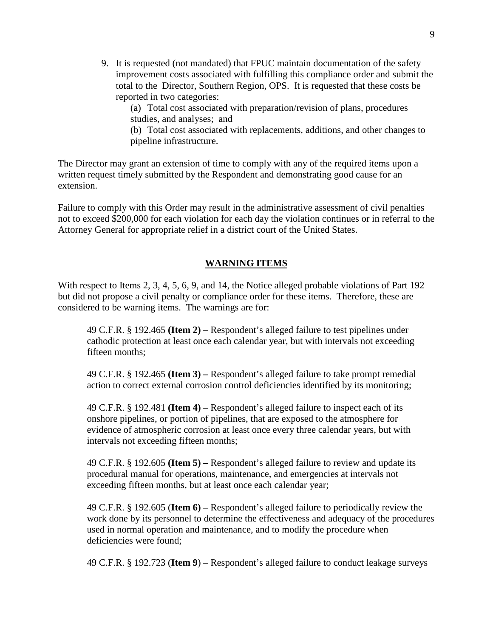9. It is requested (not mandated) that FPUC maintain documentation of the safety improvement costs associated with fulfilling this compliance order and submit the total to the Director, Southern Region, OPS. It is requested that these costs be reported in two categories:

(a) Total cost associated with preparation/revision of plans, procedures studies, and analyses; and

(b) Total cost associated with replacements, additions, and other changes to pipeline infrastructure.

The Director may grant an extension of time to comply with any of the required items upon a written request timely submitted by the Respondent and demonstrating good cause for an extension.

Failure to comply with this Order may result in the administrative assessment of civil penalties not to exceed \$200,000 for each violation for each day the violation continues or in referral to the Attorney General for appropriate relief in a district court of the United States.

## **WARNING ITEMS**

With respect to Items 2, 3, 4, 5, 6, 9, and 14, the Notice alleged probable violations of Part 192 but did not propose a civil penalty or compliance order for these items. Therefore, these are considered to be warning items. The warnings are for:

49 C.F.R. § 192.465 **(Item 2)** – Respondent's alleged failure to test pipelines under cathodic protection at least once each calendar year, but with intervals not exceeding fifteen months;

49 C.F.R. § 192.465 **(Item 3) –** Respondent's alleged failure to take prompt remedial action to correct external corrosion control deficiencies identified by its monitoring;

49 C.F.R. § 192.481 **(Item 4)** – Respondent's alleged failure to inspect each of its onshore pipelines, or portion of pipelines, that are exposed to the atmosphere for evidence of atmospheric corrosion at least once every three calendar years, but with intervals not exceeding fifteen months;

49 C.F.R. § 192.605 **(Item 5) –** Respondent's alleged failure to review and update its procedural manual for operations, maintenance, and emergencies at intervals not exceeding fifteen months, but at least once each calendar year;

49 C.F.R. § 192.605 (**Item 6) –** Respondent's alleged failure to periodically review the work done by its personnel to determine the effectiveness and adequacy of the procedures used in normal operation and maintenance, and to modify the procedure when deficiencies were found;

49 C.F.R. § 192.723 (**Item 9**) – Respondent's alleged failure to conduct leakage surveys